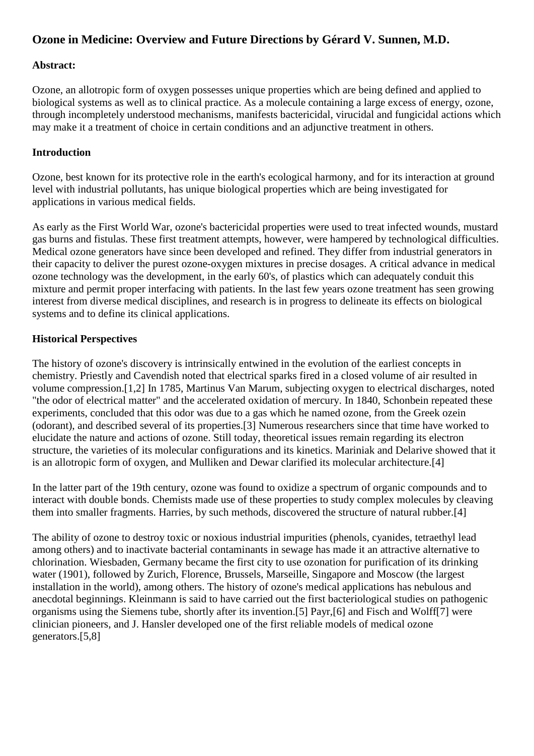# **Ozone in Medicine: Overview and Future Directions by Gérard V. Sunnen, M.D.**

### **Abstract:**

Ozone, an allotropic form of oxygen possesses unique properties which are being defined and applied to biological systems as well as to clinical practice. As a molecule containing a large excess of energy, ozone, through incompletely understood mechanisms, manifests bactericidal, virucidal and fungicidal actions which may make it a treatment of choice in certain conditions and an adjunctive treatment in others.

## **Introduction**

Ozone, best known for its protective role in the earth's ecological harmony, and for its interaction at ground level with industrial pollutants, has unique biological properties which are being investigated for applications in various medical fields.

As early as the First World War, ozone's bactericidal properties were used to treat infected wounds, mustard gas burns and fistulas. These first treatment attempts, however, were hampered by technological difficulties. Medical ozone generators have since been developed and refined. They differ from industrial generators in their capacity to deliver the purest ozone-oxygen mixtures in precise dosages. A critical advance in medical ozone technology was the development, in the early 60's, of plastics which can adequately conduit this mixture and permit proper interfacing with patients. In the last few years ozone treatment has seen growing interest from diverse medical disciplines, and research is in progress to delineate its effects on biological systems and to define its clinical applications.

## **Historical Perspectives**

The history of ozone's discovery is intrinsically entwined in the evolution of the earliest concepts in chemistry. Priestly and Cavendish noted that electrical sparks fired in a closed volume of air resulted in volume compression.[1,2] In 1785, Martinus Van Marum, subjecting oxygen to electrical discharges, noted "the odor of electrical matter" and the accelerated oxidation of mercury. In 1840, Schonbein repeated these experiments, concluded that this odor was due to a gas which he named ozone, from the Greek ozein (odorant), and described several of its properties.[3] Numerous researchers since that time have worked to elucidate the nature and actions of ozone. Still today, theoretical issues remain regarding its electron structure, the varieties of its molecular configurations and its kinetics. Mariniak and Delarive showed that it is an allotropic form of oxygen, and Mulliken and Dewar clarified its molecular architecture.[4]

In the latter part of the 19th century, ozone was found to oxidize a spectrum of organic compounds and to interact with double bonds. Chemists made use of these properties to study complex molecules by cleaving them into smaller fragments. Harries, by such methods, discovered the structure of natural rubber.[4]

The ability of ozone to destroy toxic or noxious industrial impurities (phenols, cyanides, tetraethyl lead among others) and to inactivate bacterial contaminants in sewage has made it an attractive alternative to chlorination. Wiesbaden, Germany became the first city to use ozonation for purification of its drinking water (1901), followed by Zurich, Florence, Brussels, Marseille, Singapore and Moscow (the largest installation in the world), among others. The history of ozone's medical applications has nebulous and anecdotal beginnings. Kleinmann is said to have carried out the first bacteriological studies on pathogenic organisms using the Siemens tube, shortly after its invention.[5] Payr,[6] and Fisch and Wolff[7] were clinician pioneers, and J. Hansler developed one of the first reliable models of medical ozone generators.[5,8]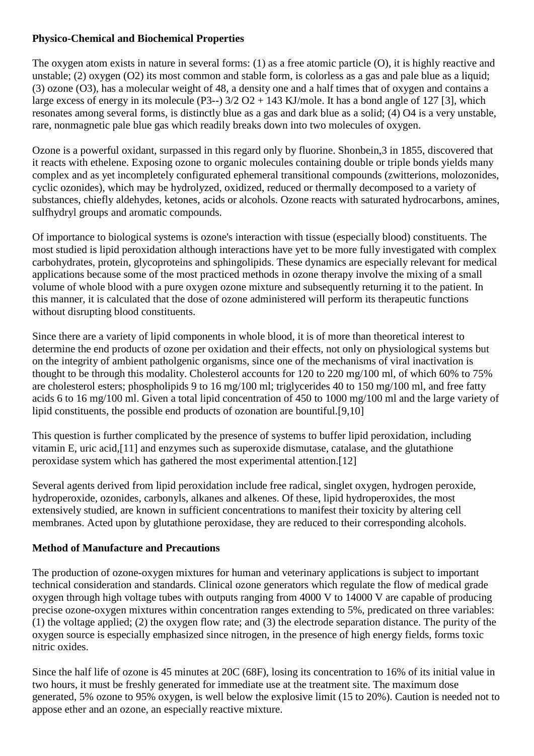## **Physico-Chemical and Biochemical Properties**

The oxygen atom exists in nature in several forms: (1) as a free atomic particle (O), it is highly reactive and unstable; (2) oxygen (O2) its most common and stable form, is colorless as a gas and pale blue as a liquid; (3) ozone (O3), has a molecular weight of 48, a density one and a half times that of oxygen and contains a large excess of energy in its molecule (P3--)  $3/2$  O2 + 143 KJ/mole. It has a bond angle of 127 [3], which resonates among several forms, is distinctly blue as a gas and dark blue as a solid; (4) O4 is a very unstable, rare, nonmagnetic pale blue gas which readily breaks down into two molecules of oxygen.

Ozone is a powerful oxidant, surpassed in this regard only by fluorine. Shonbein,3 in 1855, discovered that it reacts with ethelene. Exposing ozone to organic molecules containing double or triple bonds yields many complex and as yet incompletely configurated ephemeral transitional compounds (zwitterions, molozonides, cyclic ozonides), which may be hydrolyzed, oxidized, reduced or thermally decomposed to a variety of substances, chiefly aldehydes, ketones, acids or alcohols. Ozone reacts with saturated hydrocarbons, amines, sulfhydryl groups and aromatic compounds.

Of importance to biological systems is ozone's interaction with tissue (especially blood) constituents. The most studied is lipid peroxidation although interactions have yet to be more fully investigated with complex carbohydrates, protein, glycoproteins and sphingolipids. These dynamics are especially relevant for medical applications because some of the most practiced methods in ozone therapy involve the mixing of a small volume of whole blood with a pure oxygen ozone mixture and subsequently returning it to the patient. In this manner, it is calculated that the dose of ozone administered will perform its therapeutic functions without disrupting blood constituents.

Since there are a variety of lipid components in whole blood, it is of more than theoretical interest to determine the end products of ozone per oxidation and their effects, not only on physiological systems but on the integrity of ambient patholgenic organisms, since one of the mechanisms of viral inactivation is thought to be through this modality. Cholesterol accounts for 120 to 220 mg/100 ml, of which 60% to 75% are cholesterol esters; phospholipids 9 to 16 mg/100 ml; triglycerides 40 to 150 mg/100 ml, and free fatty acids 6 to 16 mg/100 ml. Given a total lipid concentration of 450 to 1000 mg/100 ml and the large variety of lipid constituents, the possible end products of ozonation are bountiful.[9,10]

This question is further complicated by the presence of systems to buffer lipid peroxidation, including vitamin E, uric acid,[11] and enzymes such as superoxide dismutase, catalase, and the glutathione peroxidase system which has gathered the most experimental attention.[12]

Several agents derived from lipid peroxidation include free radical, singlet oxygen, hydrogen peroxide, hydroperoxide, ozonides, carbonyls, alkanes and alkenes. Of these, lipid hydroperoxides, the most extensively studied, are known in sufficient concentrations to manifest their toxicity by altering cell membranes. Acted upon by glutathione peroxidase, they are reduced to their corresponding alcohols.

## **Method of Manufacture and Precautions**

The production of ozone-oxygen mixtures for human and veterinary applications is subject to important technical consideration and standards. Clinical ozone generators which regulate the flow of medical grade oxygen through high voltage tubes with outputs ranging from 4000 V to 14000 V are capable of producing precise ozone-oxygen mixtures within concentration ranges extending to 5%, predicated on three variables: (1) the voltage applied; (2) the oxygen flow rate; and (3) the electrode separation distance. The purity of the oxygen source is especially emphasized since nitrogen, in the presence of high energy fields, forms toxic nitric oxides.

Since the half life of ozone is 45 minutes at 20C (68F), losing its concentration to 16% of its initial value in two hours, it must be freshly generated for immediate use at the treatment site. The maximum dose generated, 5% ozone to 95% oxygen, is well below the explosive limit (15 to 20%). Caution is needed not to appose ether and an ozone, an especially reactive mixture.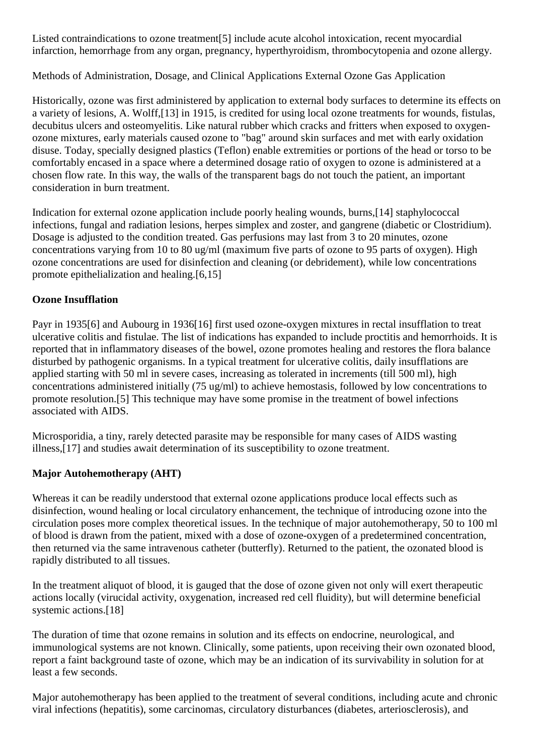Listed contraindications to ozone treatment[5] include acute alcohol intoxication, recent myocardial infarction, hemorrhage from any organ, pregnancy, hyperthyroidism, thrombocytopenia and ozone allergy.

Methods of Administration, Dosage, and Clinical Applications External Ozone Gas Application

Historically, ozone was first administered by application to external body surfaces to determine its effects on a variety of lesions, A. Wolff,[13] in 1915, is credited for using local ozone treatments for wounds, fistulas, decubitus ulcers and osteomyelitis. Like natural rubber which cracks and fritters when exposed to oxygenozone mixtures, early materials caused ozone to "bag" around skin surfaces and met with early oxidation disuse. Today, specially designed plastics (Teflon) enable extremities or portions of the head or torso to be comfortably encased in a space where a determined dosage ratio of oxygen to ozone is administered at a chosen flow rate. In this way, the walls of the transparent bags do not touch the patient, an important consideration in burn treatment.

Indication for external ozone application include poorly healing wounds, burns,[14] staphylococcal infections, fungal and radiation lesions, herpes simplex and zoster, and gangrene (diabetic or Clostridium). Dosage is adjusted to the condition treated. Gas perfusions may last from 3 to 20 minutes, ozone concentrations varying from 10 to 80 ug/ml (maximum five parts of ozone to 95 parts of oxygen). High ozone concentrations are used for disinfection and cleaning (or debridement), while low concentrations promote epithelialization and healing.[6,15]

## **Ozone Insufflation**

Payr in 1935[6] and Aubourg in 1936[16] first used ozone-oxygen mixtures in rectal insufflation to treat ulcerative colitis and fistulae. The list of indications has expanded to include proctitis and hemorrhoids. It is reported that in inflammatory diseases of the bowel, ozone promotes healing and restores the flora balance disturbed by pathogenic organisms. In a typical treatment for ulcerative colitis, daily insufflations are applied starting with 50 ml in severe cases, increasing as tolerated in increments (till 500 ml), high concentrations administered initially (75 ug/ml) to achieve hemostasis, followed by low concentrations to promote resolution.[5] This technique may have some promise in the treatment of bowel infections associated with AIDS.

Microsporidia, a tiny, rarely detected parasite may be responsible for many cases of AIDS wasting illness,[17] and studies await determination of its susceptibility to ozone treatment.

## **Major Autohemotherapy (AHT)**

Whereas it can be readily understood that external ozone applications produce local effects such as disinfection, wound healing or local circulatory enhancement, the technique of introducing ozone into the circulation poses more complex theoretical issues. In the technique of major autohemotherapy, 50 to 100 ml of blood is drawn from the patient, mixed with a dose of ozone-oxygen of a predetermined concentration, then returned via the same intravenous catheter (butterfly). Returned to the patient, the ozonated blood is rapidly distributed to all tissues.

In the treatment aliquot of blood, it is gauged that the dose of ozone given not only will exert therapeutic actions locally (virucidal activity, oxygenation, increased red cell fluidity), but will determine beneficial systemic actions.<sup>[18]</sup>

The duration of time that ozone remains in solution and its effects on endocrine, neurological, and immunological systems are not known. Clinically, some patients, upon receiving their own ozonated blood, report a faint background taste of ozone, which may be an indication of its survivability in solution for at least a few seconds.

Major autohemotherapy has been applied to the treatment of several conditions, including acute and chronic viral infections (hepatitis), some carcinomas, circulatory disturbances (diabetes, arteriosclerosis), and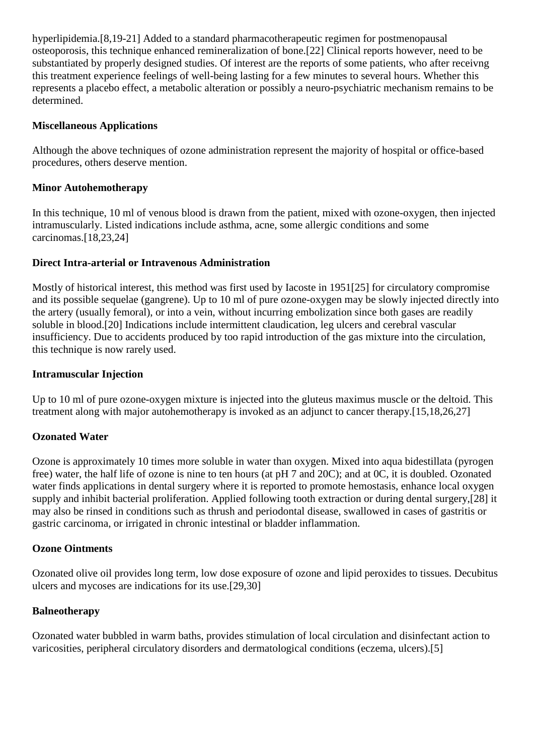hyperlipidemia.[8,19-21] Added to a standard pharmacotherapeutic regimen for postmenopausal osteoporosis, this technique enhanced remineralization of bone.[22] Clinical reports however, need to be substantiated by properly designed studies. Of interest are the reports of some patients, who after receivng this treatment experience feelings of well-being lasting for a few minutes to several hours. Whether this represents a placebo effect, a metabolic alteration or possibly a neuro-psychiatric mechanism remains to be determined.

#### **Miscellaneous Applications**

Although the above techniques of ozone administration represent the majority of hospital or office-based procedures, others deserve mention.

#### **Minor Autohemotherapy**

In this technique, 10 ml of venous blood is drawn from the patient, mixed with ozone-oxygen, then injected intramuscularly. Listed indications include asthma, acne, some allergic conditions and some carcinomas.[18,23,24]

#### **Direct Intra-arterial or Intravenous Administration**

Mostly of historical interest, this method was first used by Iacoste in 1951[25] for circulatory compromise and its possible sequelae (gangrene). Up to 10 ml of pure ozone-oxygen may be slowly injected directly into the artery (usually femoral), or into a vein, without incurring embolization since both gases are readily soluble in blood.[20] Indications include intermittent claudication, leg ulcers and cerebral vascular insufficiency. Due to accidents produced by too rapid introduction of the gas mixture into the circulation, this technique is now rarely used.

#### **Intramuscular Injection**

Up to 10 ml of pure ozone-oxygen mixture is injected into the gluteus maximus muscle or the deltoid. This treatment along with major autohemotherapy is invoked as an adjunct to cancer therapy.[15,18,26,27]

### **Ozonated Water**

Ozone is approximately 10 times more soluble in water than oxygen. Mixed into aqua bidestillata (pyrogen free) water, the half life of ozone is nine to ten hours (at pH 7 and 20C); and at 0C, it is doubled. Ozonated water finds applications in dental surgery where it is reported to promote hemostasis, enhance local oxygen supply and inhibit bacterial proliferation. Applied following tooth extraction or during dental surgery,[28] it may also be rinsed in conditions such as thrush and periodontal disease, swallowed in cases of gastritis or gastric carcinoma, or irrigated in chronic intestinal or bladder inflammation.

#### **Ozone Ointments**

Ozonated olive oil provides long term, low dose exposure of ozone and lipid peroxides to tissues. Decubitus ulcers and mycoses are indications for its use.[29,30]

#### **Balneotherapy**

Ozonated water bubbled in warm baths, provides stimulation of local circulation and disinfectant action to varicosities, peripheral circulatory disorders and dermatological conditions (eczema, ulcers).[5]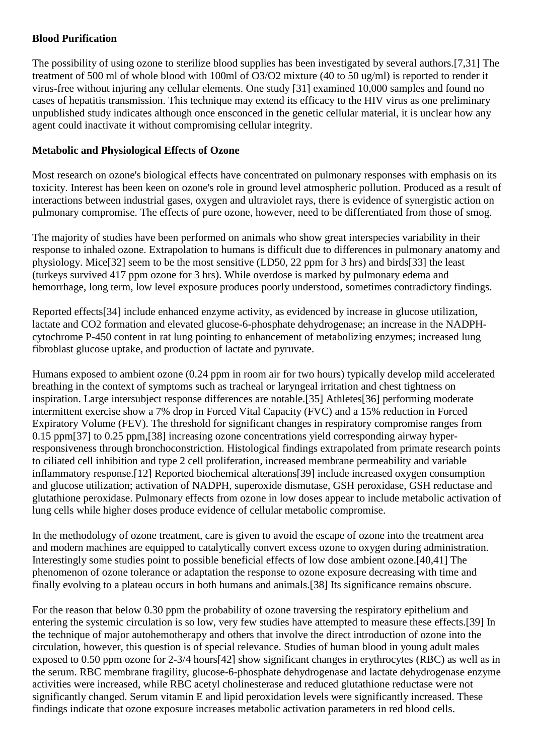## **Blood Purification**

The possibility of using ozone to sterilize blood supplies has been investigated by several authors.[7,31] The treatment of 500 ml of whole blood with 100ml of O3/O2 mixture (40 to 50 ug/ml) is reported to render it virus-free without injuring any cellular elements. One study [31] examined 10,000 samples and found no cases of hepatitis transmission. This technique may extend its efficacy to the HIV virus as one preliminary unpublished study indicates although once ensconced in the genetic cellular material, it is unclear how any agent could inactivate it without compromising cellular integrity.

## **Metabolic and Physiological Effects of Ozone**

Most research on ozone's biological effects have concentrated on pulmonary responses with emphasis on its toxicity. Interest has been keen on ozone's role in ground level atmospheric pollution. Produced as a result of interactions between industrial gases, oxygen and ultraviolet rays, there is evidence of synergistic action on pulmonary compromise. The effects of pure ozone, however, need to be differentiated from those of smog.

The majority of studies have been performed on animals who show great interspecies variability in their response to inhaled ozone. Extrapolation to humans is difficult due to differences in pulmonary anatomy and physiology. Mice[32] seem to be the most sensitive (LD50, 22 ppm for 3 hrs) and birds[33] the least (turkeys survived 417 ppm ozone for 3 hrs). While overdose is marked by pulmonary edema and hemorrhage, long term, low level exposure produces poorly understood, sometimes contradictory findings.

Reported effects[34] include enhanced enzyme activity, as evidenced by increase in glucose utilization, lactate and CO2 formation and elevated glucose-6-phosphate dehydrogenase; an increase in the NADPHcytochrome P-450 content in rat lung pointing to enhancement of metabolizing enzymes; increased lung fibroblast glucose uptake, and production of lactate and pyruvate.

Humans exposed to ambient ozone (0.24 ppm in room air for two hours) typically develop mild accelerated breathing in the context of symptoms such as tracheal or laryngeal irritation and chest tightness on inspiration. Large intersubject response differences are notable.[35] Athletes[36] performing moderate intermittent exercise show a 7% drop in Forced Vital Capacity (FVC) and a 15% reduction in Forced Expiratory Volume (FEV). The threshold for significant changes in respiratory compromise ranges from 0.15 ppm[37] to 0.25 ppm,[38] increasing ozone concentrations yield corresponding airway hyperresponsiveness through bronchoconstriction. Histological findings extrapolated from primate research points to ciliated cell inhibition and type 2 cell proliferation, increased membrane permeability and variable inflammatory response.[12] Reported biochemical alterations[39] include increased oxygen consumption and glucose utilization; activation of NADPH, superoxide dismutase, GSH peroxidase, GSH reductase and glutathione peroxidase. Pulmonary effects from ozone in low doses appear to include metabolic activation of lung cells while higher doses produce evidence of cellular metabolic compromise.

In the methodology of ozone treatment, care is given to avoid the escape of ozone into the treatment area and modern machines are equipped to catalytically convert excess ozone to oxygen during administration. Interestingly some studies point to possible beneficial effects of low dose ambient ozone.[40,41] The phenomenon of ozone tolerance or adaptation the response to ozone exposure decreasing with time and finally evolving to a plateau occurs in both humans and animals.[38] Its significance remains obscure.

For the reason that below 0.30 ppm the probability of ozone traversing the respiratory epithelium and entering the systemic circulation is so low, very few studies have attempted to measure these effects.[39] In the technique of major autohemotherapy and others that involve the direct introduction of ozone into the circulation, however, this question is of special relevance. Studies of human blood in young adult males exposed to 0.50 ppm ozone for 2-3/4 hours[42] show significant changes in erythrocytes (RBC) as well as in the serum. RBC membrane fragility, glucose-6-phosphate dehydrogenase and lactate dehydrogenase enzyme activities were increased, while RBC acetyl cholinesterase and reduced glutathione reductase were not significantly changed. Serum vitamin E and lipid peroxidation levels were significantly increased. These findings indicate that ozone exposure increases metabolic activation parameters in red blood cells.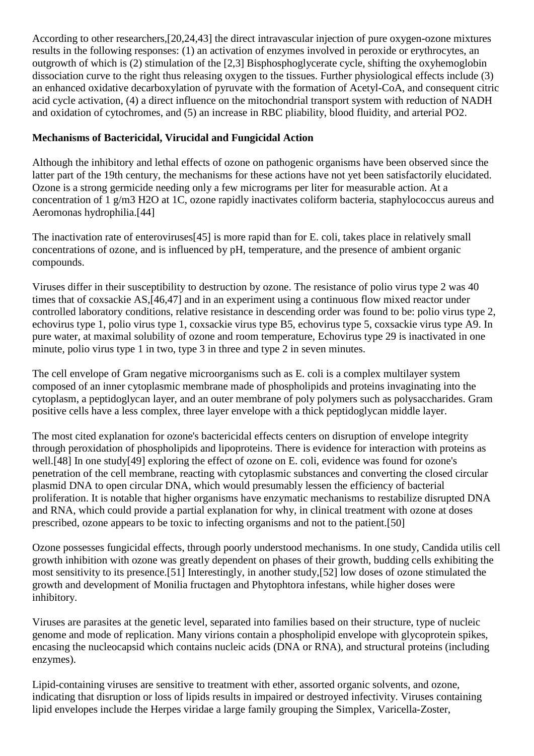According to other researchers,[20,24,43] the direct intravascular injection of pure oxygen-ozone mixtures results in the following responses: (1) an activation of enzymes involved in peroxide or erythrocytes, an outgrowth of which is (2) stimulation of the [2,3] Bisphosphoglycerate cycle, shifting the oxyhemoglobin dissociation curve to the right thus releasing oxygen to the tissues. Further physiological effects include (3) an enhanced oxidative decarboxylation of pyruvate with the formation of Acetyl-CoA, and consequent citric acid cycle activation, (4) a direct influence on the mitochondrial transport system with reduction of NADH and oxidation of cytochromes, and (5) an increase in RBC pliability, blood fluidity, and arterial PO2.

## **Mechanisms of Bactericidal, Virucidal and Fungicidal Action**

Although the inhibitory and lethal effects of ozone on pathogenic organisms have been observed since the latter part of the 19th century, the mechanisms for these actions have not yet been satisfactorily elucidated. Ozone is a strong germicide needing only a few micrograms per liter for measurable action. At a concentration of 1 g/m3 H2O at 1C, ozone rapidly inactivates coliform bacteria, staphylococcus aureus and Aeromonas hydrophilia.[44]

The inactivation rate of enteroviruses[45] is more rapid than for E. coli, takes place in relatively small concentrations of ozone, and is influenced by pH, temperature, and the presence of ambient organic compounds.

Viruses differ in their susceptibility to destruction by ozone. The resistance of polio virus type 2 was 40 times that of coxsackie AS,[46,47] and in an experiment using a continuous flow mixed reactor under controlled laboratory conditions, relative resistance in descending order was found to be: polio virus type 2, echovirus type 1, polio virus type 1, coxsackie virus type B5, echovirus type 5, coxsackie virus type A9. In pure water, at maximal solubility of ozone and room temperature, Echovirus type 29 is inactivated in one minute, polio virus type 1 in two, type 3 in three and type 2 in seven minutes.

The cell envelope of Gram negative microorganisms such as E. coli is a complex multilayer system composed of an inner cytoplasmic membrane made of phospholipids and proteins invaginating into the cytoplasm, a peptidoglycan layer, and an outer membrane of poly polymers such as polysaccharides. Gram positive cells have a less complex, three layer envelope with a thick peptidoglycan middle layer.

The most cited explanation for ozone's bactericidal effects centers on disruption of envelope integrity through peroxidation of phospholipids and lipoproteins. There is evidence for interaction with proteins as well.[48] In one study[49] exploring the effect of ozone on E. coli, evidence was found for ozone's penetration of the cell membrane, reacting with cytoplasmic substances and converting the closed circular plasmid DNA to open circular DNA, which would presumably lessen the efficiency of bacterial proliferation. It is notable that higher organisms have enzymatic mechanisms to restabilize disrupted DNA and RNA, which could provide a partial explanation for why, in clinical treatment with ozone at doses prescribed, ozone appears to be toxic to infecting organisms and not to the patient.[50]

Ozone possesses fungicidal effects, through poorly understood mechanisms. In one study, Candida utilis cell growth inhibition with ozone was greatly dependent on phases of their growth, budding cells exhibiting the most sensitivity to its presence.[51] Interestingly, in another study,[52] low doses of ozone stimulated the growth and development of Monilia fructagen and Phytophtora infestans, while higher doses were inhibitory.

Viruses are parasites at the genetic level, separated into families based on their structure, type of nucleic genome and mode of replication. Many virions contain a phospholipid envelope with glycoprotein spikes, encasing the nucleocapsid which contains nucleic acids (DNA or RNA), and structural proteins (including enzymes).

Lipid-containing viruses are sensitive to treatment with ether, assorted organic solvents, and ozone, indicating that disruption or loss of lipids results in impaired or destroyed infectivity. Viruses containing lipid envelopes include the Herpes viridae a large family grouping the Simplex, Varicella-Zoster,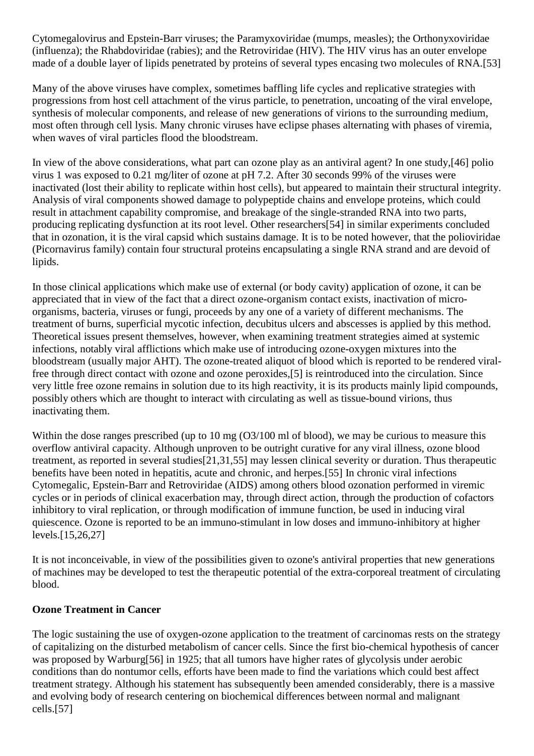Cytomegalovirus and Epstein-Barr viruses; the Paramyxoviridae (mumps, measles); the Orthonyxoviridae (influenza); the Rhabdoviridae (rabies); and the Retroviridae (HIV). The HIV virus has an outer envelope made of a double layer of lipids penetrated by proteins of several types encasing two molecules of RNA.[53]

Many of the above viruses have complex, sometimes baffling life cycles and replicative strategies with progressions from host cell attachment of the virus particle, to penetration, uncoating of the viral envelope, synthesis of molecular components, and release of new generations of virions to the surrounding medium, most often through cell lysis. Many chronic viruses have eclipse phases alternating with phases of viremia, when waves of viral particles flood the bloodstream.

In view of the above considerations, what part can ozone play as an antiviral agent? In one study,[46] polio virus 1 was exposed to 0.21 mg/liter of ozone at pH 7.2. After 30 seconds 99% of the viruses were inactivated (lost their ability to replicate within host cells), but appeared to maintain their structural integrity. Analysis of viral components showed damage to polypeptide chains and envelope proteins, which could result in attachment capability compromise, and breakage of the single-stranded RNA into two parts, producing replicating dysfunction at its root level. Other researchers[54] in similar experiments concluded that in ozonation, it is the viral capsid which sustains damage. It is to be noted however, that the polioviridae (Picornavirus family) contain four structural proteins encapsulating a single RNA strand and are devoid of lipids.

In those clinical applications which make use of external (or body cavity) application of ozone, it can be appreciated that in view of the fact that a direct ozone-organism contact exists, inactivation of microorganisms, bacteria, viruses or fungi, proceeds by any one of a variety of different mechanisms. The treatment of burns, superficial mycotic infection, decubitus ulcers and abscesses is applied by this method. Theoretical issues present themselves, however, when examining treatment strategies aimed at systemic infections, notably viral afflictions which make use of introducing ozone-oxygen mixtures into the bloodstream (usually major AHT). The ozone-treated aliquot of blood which is reported to be rendered viralfree through direct contact with ozone and ozone peroxides,[5] is reintroduced into the circulation. Since very little free ozone remains in solution due to its high reactivity, it is its products mainly lipid compounds, possibly others which are thought to interact with circulating as well as tissue-bound virions, thus inactivating them.

Within the dose ranges prescribed (up to 10 mg (O3/100 ml of blood), we may be curious to measure this overflow antiviral capacity. Although unproven to be outright curative for any viral illness, ozone blood treatment, as reported in several studies[21,31,55] may lessen clinical severity or duration. Thus therapeutic benefits have been noted in hepatitis, acute and chronic, and herpes.[55] In chronic viral infections Cytomegalic, Epstein-Barr and Retroviridae (AIDS) among others blood ozonation performed in viremic cycles or in periods of clinical exacerbation may, through direct action, through the production of cofactors inhibitory to viral replication, or through modification of immune function, be used in inducing viral quiescence. Ozone is reported to be an immuno-stimulant in low doses and immuno-inhibitory at higher levels.[15,26,27]

It is not inconceivable, in view of the possibilities given to ozone's antiviral properties that new generations of machines may be developed to test the therapeutic potential of the extra-corporeal treatment of circulating blood.

### **Ozone Treatment in Cancer**

The logic sustaining the use of oxygen-ozone application to the treatment of carcinomas rests on the strategy of capitalizing on the disturbed metabolism of cancer cells. Since the first bio-chemical hypothesis of cancer was proposed by Warburg[56] in 1925; that all tumors have higher rates of glycolysis under aerobic conditions than do nontumor cells, efforts have been made to find the variations which could best affect treatment strategy. Although his statement has subsequently been amended considerably, there is a massive and evolving body of research centering on biochemical differences between normal and malignant cells.[57]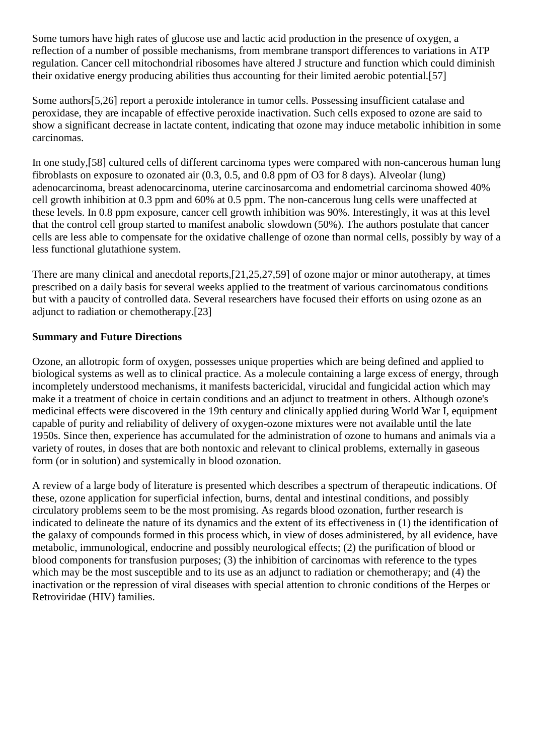Some tumors have high rates of glucose use and lactic acid production in the presence of oxygen, a reflection of a number of possible mechanisms, from membrane transport differences to variations in ATP regulation. Cancer cell mitochondrial ribosomes have altered J structure and function which could diminish their oxidative energy producing abilities thus accounting for their limited aerobic potential.[57]

Some authors[5,26] report a peroxide intolerance in tumor cells. Possessing insufficient catalase and peroxidase, they are incapable of effective peroxide inactivation. Such cells exposed to ozone are said to show a significant decrease in lactate content, indicating that ozone may induce metabolic inhibition in some carcinomas.

In one study,[58] cultured cells of different carcinoma types were compared with non-cancerous human lung fibroblasts on exposure to ozonated air (0.3, 0.5, and 0.8 ppm of O3 for 8 days). Alveolar (lung) adenocarcinoma, breast adenocarcinoma, uterine carcinosarcoma and endometrial carcinoma showed 40% cell growth inhibition at 0.3 ppm and 60% at 0.5 ppm. The non-cancerous lung cells were unaffected at these levels. In 0.8 ppm exposure, cancer cell growth inhibition was 90%. Interestingly, it was at this level that the control cell group started to manifest anabolic slowdown (50%). The authors postulate that cancer cells are less able to compensate for the oxidative challenge of ozone than normal cells, possibly by way of a less functional glutathione system.

There are many clinical and anecdotal reports,[21,25,27,59] of ozone major or minor autotherapy, at times prescribed on a daily basis for several weeks applied to the treatment of various carcinomatous conditions but with a paucity of controlled data. Several researchers have focused their efforts on using ozone as an adjunct to radiation or chemotherapy.[23]

### **Summary and Future Directions**

Ozone, an allotropic form of oxygen, possesses unique properties which are being defined and applied to biological systems as well as to clinical practice. As a molecule containing a large excess of energy, through incompletely understood mechanisms, it manifests bactericidal, virucidal and fungicidal action which may make it a treatment of choice in certain conditions and an adjunct to treatment in others. Although ozone's medicinal effects were discovered in the 19th century and clinically applied during World War I, equipment capable of purity and reliability of delivery of oxygen-ozone mixtures were not available until the late 1950s. Since then, experience has accumulated for the administration of ozone to humans and animals via a variety of routes, in doses that are both nontoxic and relevant to clinical problems, externally in gaseous form (or in solution) and systemically in blood ozonation.

A review of a large body of literature is presented which describes a spectrum of therapeutic indications. Of these, ozone application for superficial infection, burns, dental and intestinal conditions, and possibly circulatory problems seem to be the most promising. As regards blood ozonation, further research is indicated to delineate the nature of its dynamics and the extent of its effectiveness in (1) the identification of the galaxy of compounds formed in this process which, in view of doses administered, by all evidence, have metabolic, immunological, endocrine and possibly neurological effects; (2) the purification of blood or blood components for transfusion purposes; (3) the inhibition of carcinomas with reference to the types which may be the most susceptible and to its use as an adjunct to radiation or chemotherapy; and (4) the inactivation or the repression of viral diseases with special attention to chronic conditions of the Herpes or Retroviridae (HIV) families.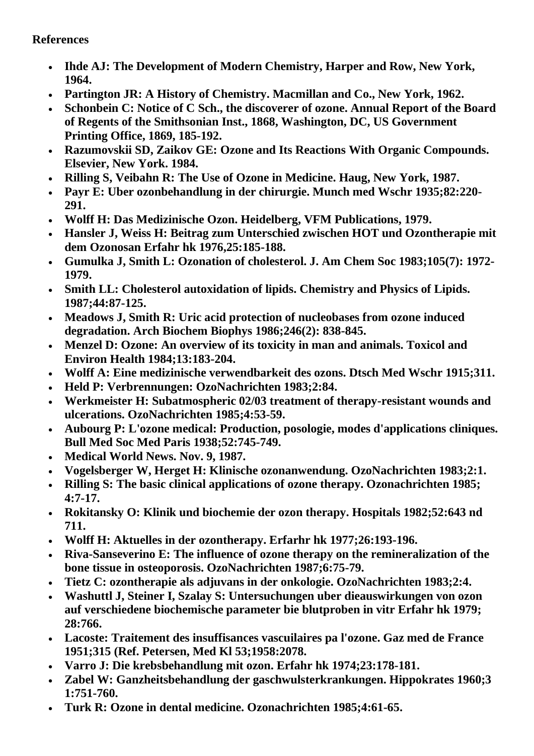# **References**

- **Ihde AJ: The Development of Modern Chemistry, Harper and Row, New York, 1964.**
- **Partington JR: A History of Chemistry. Macmillan and Co., New York, 1962.**
- **Schonbein C: Notice of C Sch., the discoverer of ozone. Annual Report of the Board of Regents of the Smithsonian Inst., 1868, Washington, DC, US Government Printing Office, 1869, 185-192.**
- **Razumovskii SD, Zaikov GE: Ozone and Its Reactions With Organic Compounds. Elsevier, New York. 1984.**
- **Rilling S, Veibahn R: The Use of Ozone in Medicine. Haug, New York, 1987.**
- **Payr E: Uber ozonbehandlung in der chirurgie. Munch med Wschr 1935;82:220- 291.**
- **Wolff H: Das Medizinische Ozon. Heidelberg, VFM Publications, 1979.**
- **Hansler J, Weiss H: Beitrag zum Unterschied zwischen HOT und Ozontherapie mit dem Ozonosan Erfahr hk 1976,25:185-188.**
- **Gumulka J, Smith L: Ozonation of cholesterol. J. Am Chem Soc 1983;105(7): 1972- 1979.**
- **Smith LL: Cholesterol autoxidation of lipids. Chemistry and Physics of Lipids. 1987;44:87-125.**
- **Meadows J, Smith R: Uric acid protection of nucleobases from ozone induced degradation. Arch Biochem Biophys 1986;246(2): 838-845.**
- **Menzel D: Ozone: An overview of its toxicity in man and animals. Toxicol and Environ Health 1984;13:183-204.**
- **Wolff A: Eine medizinische verwendbarkeit des ozons. Dtsch Med Wschr 1915;311.**
- **Held P: Verbrennungen: OzoNachrichten 1983;2:84.**
- **Werkmeister H: Subatmospheric 02/03 treatment of therapy-resistant wounds and ulcerations. OzoNachrichten 1985;4:53-59.**
- **Aubourg P: L'ozone medical: Production, posologie, modes d'applications cliniques. Bull Med Soc Med Paris 1938;52:745-749.**
- **Medical World News. Nov. 9, 1987.**
- **Vogelsberger W, Herget H: Klinische ozonanwendung. OzoNachrichten 1983;2:1.**
- **Rilling S: The basic clinical applications of ozone therapy. Ozonachrichten 1985; 4:7-17.**
- **Rokitansky O: Klinik und biochemie der ozon therapy. Hospitals 1982;52:643 nd 711.**
- **Wolff H: Aktuelles in der ozontherapy. Erfarhr hk 1977;26:193-196.**
- **Riva-Sanseverino E: The influence of ozone therapy on the remineralization of the bone tissue in osteoporosis. OzoNachrichten 1987;6:75-79.**
- **Tietz C: ozontherapie als adjuvans in der onkologie. OzoNachrichten 1983;2:4.**
- **Washuttl J, Steiner I, Szalay S: Untersuchungen uber dieauswirkungen von ozon auf verschiedene biochemische parameter bie blutproben in vitr Erfahr hk 1979; 28:766.**
- **Lacoste: Traitement des insuffisances vascuilaires pa l'ozone. Gaz med de France 1951;315 (Ref. Petersen, Med Kl 53;1958:2078.**
- **Varro J: Die krebsbehandlung mit ozon. Erfahr hk 1974;23:178-181.**
- **Zabel W: Ganzheitsbehandlung der gaschwulsterkrankungen. Hippokrates 1960;3 1:751-760.**
- **Turk R: Ozone in dental medicine. Ozonachrichten 1985;4:61-65.**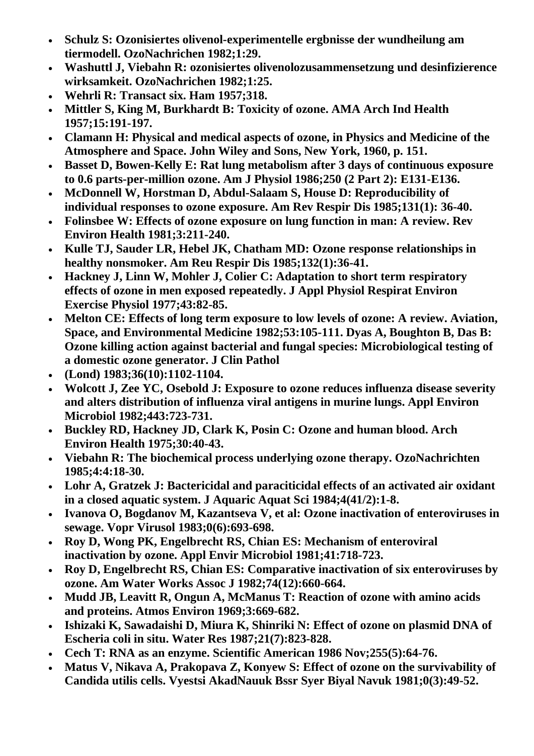- **Schulz S: Ozonisiertes olivenol-experimentelle ergbnisse der wundheilung am tiermodell. OzoNachrichen 1982;1:29.**
- **Washuttl J, Viebahn R: ozonisiertes olivenolozusammensetzung und desinfizierence wirksamkeit. OzoNachrichen 1982;1:25.**
- **Wehrli R: Transact six. Ham 1957;318.**
- **Mittler S, King M, Burkhardt B: Toxicity of ozone. AMA Arch Ind Health 1957;15:191-197.**
- **Clamann H: Physical and medical aspects of ozone, in Physics and Medicine of the Atmosphere and Space. John Wiley and Sons, New York, 1960, p. 151.**
- **Basset D, Bowen-Kelly E: Rat lung metabolism after 3 days of continuous exposure to 0.6 parts-per-million ozone. Am J Physiol 1986;250 (2 Part 2): E131-E136.**
- **McDonnell W, Horstman D, Abdul-Salaam S, House D: Reproducibility of individual responses to ozone exposure. Am Rev Respir Dis 1985;131(1): 36-40.**
- **Folinsbee W: Effects of ozone exposure on lung function in man: A review. Rev Environ Health 1981;3:211-240.**
- **Kulle TJ, Sauder LR, Hebel JK, Chatham MD: Ozone response relationships in healthy nonsmoker. Am Reu Respir Dis 1985;132(1):36-41.**
- **Hackney J, Linn W, Mohler J, Colier C: Adaptation to short term respiratory effects of ozone in men exposed repeatedly. J Appl Physiol Respirat Environ Exercise Physiol 1977;43:82-85.**
- **Melton CE: Effects of long term exposure to low levels of ozone: A review. Aviation, Space, and Environmental Medicine 1982;53:105-111. Dyas A, Boughton B, Das B: Ozone killing action against bacterial and fungal species: Microbiological testing of a domestic ozone generator. J Clin Pathol**
- **(Lond) 1983;36(10):1102-1104.**
- **Wolcott J, Zee YC, Osebold J: Exposure to ozone reduces influenza disease severity and alters distribution of influenza viral antigens in murine lungs. Appl Environ Microbiol 1982;443:723-731.**
- **Buckley RD, Hackney JD, Clark K, Posin C: Ozone and human blood. Arch Environ Health 1975;30:40-43.**
- **Viebahn R: The biochemical process underlying ozone therapy. OzoNachrichten 1985;4:4:18-30.**
- **Lohr A, Gratzek J: Bactericidal and paraciticidal effects of an activated air oxidant in a closed aquatic system. J Aquaric Aquat Sci 1984;4(41/2):1-8.**
- **Ivanova O, Bogdanov M, Kazantseva V, et al: Ozone inactivation of enteroviruses in sewage. Vopr Virusol 1983;0(6):693-698.**
- **Roy D, Wong PK, Engelbrecht RS, Chian ES: Mechanism of enteroviral inactivation by ozone. Appl Envir Microbiol 1981;41:718-723.**
- **Roy D, Engelbrecht RS, Chian ES: Comparative inactivation of six enteroviruses by ozone. Am Water Works Assoc J 1982;74(12):660-664.**
- **Mudd JB, Leavitt R, Ongun A, McManus T: Reaction of ozone with amino acids and proteins. Atmos Environ 1969;3:669-682.**
- **Ishizaki K, Sawadaishi D, Miura K, Shinriki N: Effect of ozone on plasmid DNA of Escheria coli in situ. Water Res 1987;21(7):823-828.**
- **Cech T: RNA as an enzyme. Scientific American 1986 Nov;255(5):64-76.**
- **Matus V, Nikava A, Prakopava Z, Konyew S: Effect of ozone on the survivability of Candida utilis cells. Vyestsi AkadNauuk Bssr Syer Biyal Navuk 1981;0(3):49-52.**